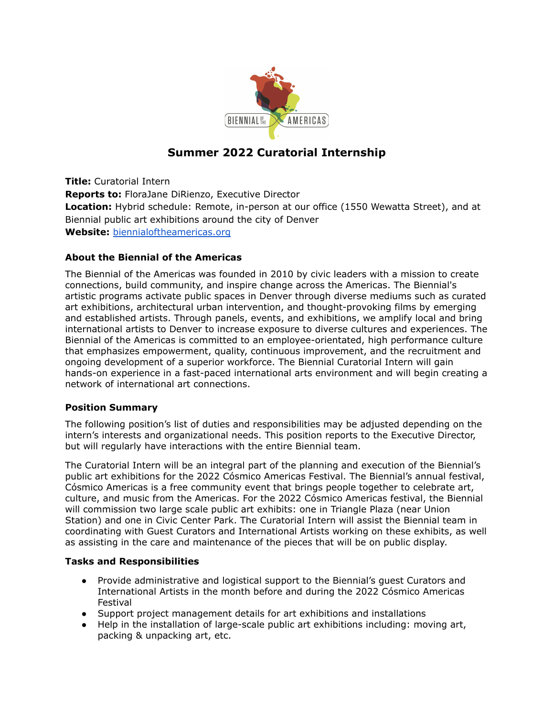

# **Summer 2022 Curatorial Internship**

**Title:** Curatorial Intern **Reports to:** FloraJane DiRienzo, Executive Director **Location:** Hybrid schedule: Remote, in-person at our office (1550 Wewatta Street), and at Biennial public art exhibitions around the city of Denver **Website:** [biennialoftheamericas.org](https://www.biennialoftheamericas.org/)

## **About the Biennial of the Americas**

The Biennial of the Americas was founded in 2010 by civic leaders with a mission to create connections, build community, and inspire change across the Americas. The Biennial's artistic programs activate public spaces in Denver through diverse mediums such as curated art exhibitions, architectural urban intervention, and thought-provoking films by emerging and established artists. Through panels, events, and exhibitions, we amplify local and bring international artists to Denver to increase exposure to diverse cultures and experiences. The Biennial of the Americas is committed to an employee-orientated, high performance culture that emphasizes empowerment, quality, continuous improvement, and the recruitment and ongoing development of a superior workforce. The Biennial Curatorial Intern will gain hands-on experience in a fast-paced international arts environment and will begin creating a network of international art connections.

## **Position Summary**

The following position's list of duties and responsibilities may be adjusted depending on the intern's interests and organizational needs. This position reports to the Executive Director, but will regularly have interactions with the entire Biennial team.

The Curatorial Intern will be an integral part of the planning and execution of the Biennial's public art exhibitions for the 2022 Cósmico Americas Festival. The Biennial's annual festival, Cósmico Americas is a free community event that brings people together to celebrate art, culture, and music from the Americas. For the 2022 Cósmico Americas festival, the Biennial will commission two large scale public art exhibits: one in Triangle Plaza (near Union Station) and one in Civic Center Park. The Curatorial Intern will assist the Biennial team in coordinating with Guest Curators and International Artists working on these exhibits, as well as assisting in the care and maintenance of the pieces that will be on public display.

## **Tasks and Responsibilities**

- Provide administrative and logistical support to the Biennial's guest Curators and International Artists in the month before and during the 2022 Cósmico Americas Festival
- Support project management details for art exhibitions and installations
- Help in the installation of large-scale public art exhibitions including: moving art, packing & unpacking art, etc.